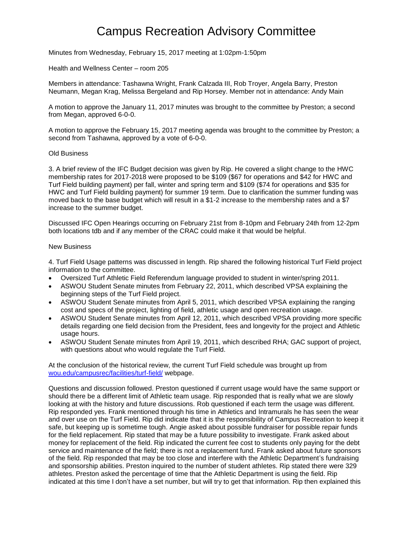# Campus Recreation Advisory Committee

Minutes from Wednesday, February 15, 2017 meeting at 1:02pm-1:50pm

Health and Wellness Center – room 205

Members in attendance: Tashawna Wright, Frank Calzada III, Rob Troyer, Angela Barry, Preston Neumann, Megan Krag, Melissa Bergeland and Rip Horsey. Member not in attendance: Andy Main

A motion to approve the January 11, 2017 minutes was brought to the committee by Preston; a second from Megan, approved 6-0-0.

A motion to approve the February 15, 2017 meeting agenda was brought to the committee by Preston; a second from Tashawna, approved by a vote of 6-0-0.

### Old Business

3. A brief review of the IFC Budget decision was given by Rip. He covered a slight change to the HWC membership rates for 2017-2018 were proposed to be \$109 (\$67 for operations and \$42 for HWC and Turf Field building payment) per fall, winter and spring term and \$109 (\$74 for operations and \$35 for HWC and Turf Field building payment) for summer 19 term. Due to clarification the summer funding was moved back to the base budget which will result in a \$1-2 increase to the membership rates and a \$7 increase to the summer budget.

Discussed IFC Open Hearings occurring on February 21st from 8-10pm and February 24th from 12-2pm both locations tdb and if any member of the CRAC could make it that would be helpful.

### New Business

4. Turf Field Usage patterns was discussed in length. Rip shared the following historical Turf Field project information to the committee.

- Oversized Turf Athletic Field Referendum language provided to student in winter/spring 2011.
- ASWOU Student Senate minutes from February 22, 2011, which described VPSA explaining the beginning steps of the Turf Field project.
- ASWOU Student Senate minutes from April 5, 2011, which described VPSA explaining the ranging cost and specs of the project, lighting of field, athletic usage and open recreation usage.
- ASWOU Student Senate minutes from April 12, 2011, which described VPSA providing more specific details regarding one field decision from the President, fees and longevity for the project and Athletic usage hours.
- ASWOU Student Senate minutes from April 19, 2011, which described RHA; GAC support of project, with questions about who would regulate the Turf Field.

At the conclusion of the historical review, the current Turf Field schedule was brought up from [wou.edu/campusrec/facilities/turf-field/](http://www.wou.edu/campusrec/facilities/turf-field/) webpage.

Questions and discussion followed. Preston questioned if current usage would have the same support or should there be a different limit of Athletic team usage. Rip responded that is really what we are slowly looking at with the history and future discussions. Rob questioned if each term the usage was different. Rip responded yes. Frank mentioned through his time in Athletics and Intramurals he has seen the wear and over use on the Turf Field. Rip did indicate that it is the responsibility of Campus Recreation to keep it safe, but keeping up is sometime tough. Angie asked about possible fundraiser for possible repair funds for the field replacement. Rip stated that may be a future possibility to investigate. Frank asked about money for replacement of the field. Rip indicated the current fee cost to students only paying for the debt service and maintenance of the field; there is not a replacement fund. Frank asked about future sponsors of the field. Rip responded that may be too close and interfere with the Athletic Department's fundraising and sponsorship abilities. Preston inquired to the number of student athletes. Rip stated there were 329 athletes. Preston asked the percentage of time that the Athletic Department is using the field. Rip indicated at this time I don't have a set number, but will try to get that information. Rip then explained this